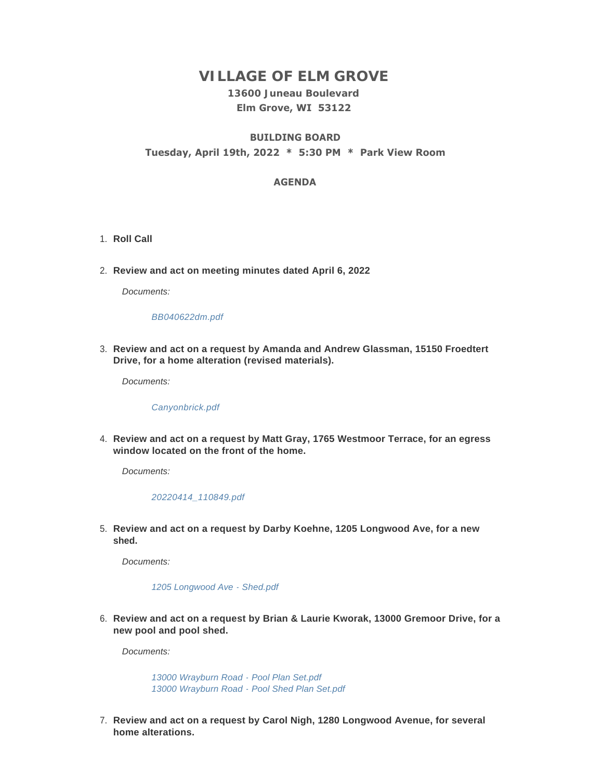# **VILLAGE OF ELM GROVE**

# **13600 Juneau Boulevard Elm Grove, WI 53122**

# **BUILDING BOARD Tuesday, April 19th, 2022 \* 5:30 PM \* Park View Room**

# **AGENDA**

- 1. Roll Call
- **Review and act on meeting minutes dated April 6, 2022** 2.

*Documents:*

### *[BB040622dm.pdf](https://elmgrovewi.org/AgendaCenter/ViewFile/Item/11783?fileID=18728)*

**Review and act on a request by Amanda and Andrew Glassman, 15150 Froedtert**  3. **Drive, for a home alteration (revised materials).** 

*Documents:*

#### *[Canyonbrick.pdf](https://elmgrovewi.org/AgendaCenter/ViewFile/Item/11777?fileID=18718)*

**Review and act on a request by Matt Gray, 1765 Westmoor Terrace, for an egress**  4. **window located on the front of the home.** 

*Documents:*

#### *[20220414\\_110849.pdf](https://elmgrovewi.org/AgendaCenter/ViewFile/Item/11778?fileID=18719)*

**Review and act on a request by Darby Koehne, 1205 Longwood Ave, for a new**  5. **shed.**

*Documents:*

*[1205 Longwood Ave - Shed.pdf](https://elmgrovewi.org/AgendaCenter/ViewFile/Item/11779?fileID=18720)*

**Review and act on a request by Brian & Laurie Kworak, 13000 Gremoor Drive, for a**  6. **new pool and pool shed.**

*Documents:*

*[13000 Wrayburn Road - Pool Plan Set.pdf](https://elmgrovewi.org/AgendaCenter/ViewFile/Item/11780?fileID=18721) [13000 Wrayburn Road - Pool Shed Plan Set.pdf](https://elmgrovewi.org/AgendaCenter/ViewFile/Item/11780?fileID=18722)*

**Review and act on a request by Carol Nigh, 1280 Longwood Avenue, for several**  7. **home alterations.**